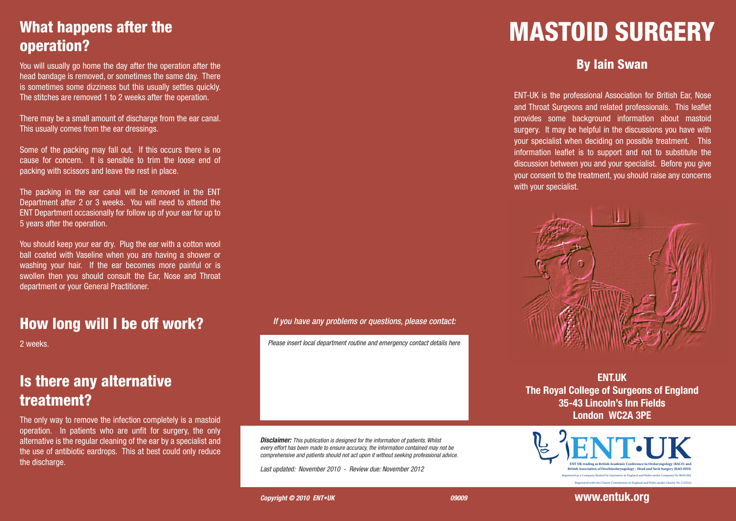# What happens after the operation?

You will usually go home the day after the operation after the head bandage is removed, or sometimes the same day. There is sometimes some dizziness but this usually settles quickly. The stitches are removed 1 to 2 weeks after the operation.

There may be a small amount of discharge from the ear canal. This usually comes from the ear dressings.

Some of the packing may fall out. If this occurs there is no cause for concern. It is sensible to trim the loose end of packing with scissors and leave the rest in place.

The packing in the ear canal will be removed in the ENT Department after 2 or 3 weeks. You will need to attend the ENT Department occasionally for follow up of your ear for up to 5 years after the operation.

You should keep your ear dry. Plug the ear with a cotton wool ball coated with Vaseline when you are having a shower or washing your hair. If the ear becomes more painful or is swollen then you should consult the Ear, Nose and Throat department or your General Practitioner.

### How long will I be off work?

2 weeks.

# Is there any alternative treatment?

The only way to remove the infection completely is a mastoid operation. In patients who are unfit for surgery, the only alternative is the regular cleaning of the ear by a specialist and the use of antibiotic eardrops. This at best could only reduce the discharge.

#### *If you have any problems or questions, please contact:*

*Please insert local department routine and emergency contact details here*

*Disclaimer: This publication is designed for the information of patients. Whilst every effort has been made to ensure accuracy, the information contained may not be comprehensive and patients should not act upon it without seeking professional advice.*

*Last updated: November 2010 - Review due: November 2012* 

#### **Copyright © 2010 ENT•UK** 09009

# MASTOID SURGERY

### By Iain Swan

ENT-UK is the professional Association for British Ear, Nose and Throat Surgeons and related professionals. This leaflet provides some background information about mastoid surgery. It may be helpful in the discussions you have with your specialist when deciding on possible treatment. This information leaflet is to support and not to substitute the discussion between you and your specialist. Before you give your consent to the treatment, you should raise any concerns with your specialist.



**ENT.UK The Royal College of Surgeons of England 35-43 Lincoln's Inn Fields London WC2A 3PE**



**www.entuk.org**